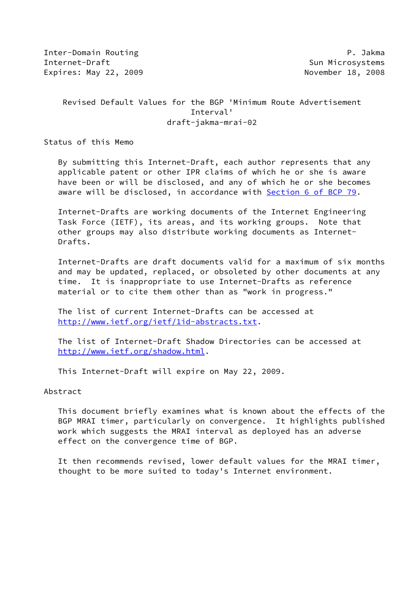Inter-Domain Routing P. Jakma Internet-Draft Sun Microsystems Expires: May 22, 2009 **November 18, 2008** 

# Revised Default Values for the BGP 'Minimum Route Advertisement Interval' draft-jakma-mrai-02

Status of this Memo

 By submitting this Internet-Draft, each author represents that any applicable patent or other IPR claims of which he or she is aware have been or will be disclosed, and any of which he or she becomes aware will be disclosed, in accordance with Section [6 of BCP 79.](https://datatracker.ietf.org/doc/pdf/bcp79#section-6)

 Internet-Drafts are working documents of the Internet Engineering Task Force (IETF), its areas, and its working groups. Note that other groups may also distribute working documents as Internet- Drafts.

 Internet-Drafts are draft documents valid for a maximum of six months and may be updated, replaced, or obsoleted by other documents at any time. It is inappropriate to use Internet-Drafts as reference material or to cite them other than as "work in progress."

 The list of current Internet-Drafts can be accessed at <http://www.ietf.org/ietf/1id-abstracts.txt>.

 The list of Internet-Draft Shadow Directories can be accessed at <http://www.ietf.org/shadow.html>.

This Internet-Draft will expire on May 22, 2009.

Abstract

 This document briefly examines what is known about the effects of the BGP MRAI timer, particularly on convergence. It highlights published work which suggests the MRAI interval as deployed has an adverse effect on the convergence time of BGP.

 It then recommends revised, lower default values for the MRAI timer, thought to be more suited to today's Internet environment.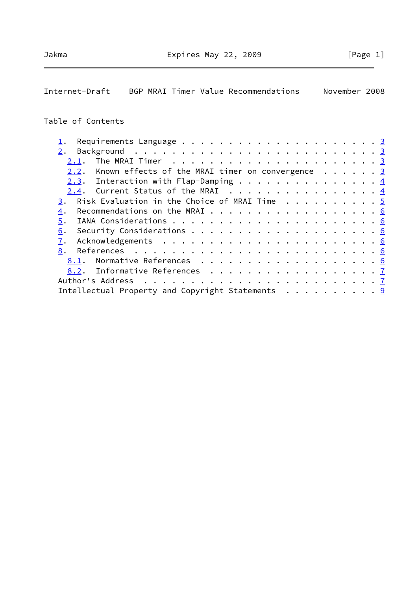Internet-Draft BGP MRAI Timer Value Recommendations November 2008

# Table of Contents

| 2.                                                                |  |
|-------------------------------------------------------------------|--|
| 2.1.                                                              |  |
| Known effects of the MRAI timer on convergence $\cdots$ 3<br>2.2. |  |
| 2.3. Interaction with Flap-Damping 4                              |  |
| 2.4. Current Status of the MRAI 4                                 |  |
| Risk Evaluation in the Choice of MRAI Time $\cdots$ 5<br>3.       |  |
| 4.                                                                |  |
| 5.                                                                |  |
| 6.                                                                |  |
| 7.                                                                |  |
| 8.                                                                |  |
|                                                                   |  |
| 8.2. Informative References 7                                     |  |
|                                                                   |  |
| Intellectual Property and Copyright Statements 9                  |  |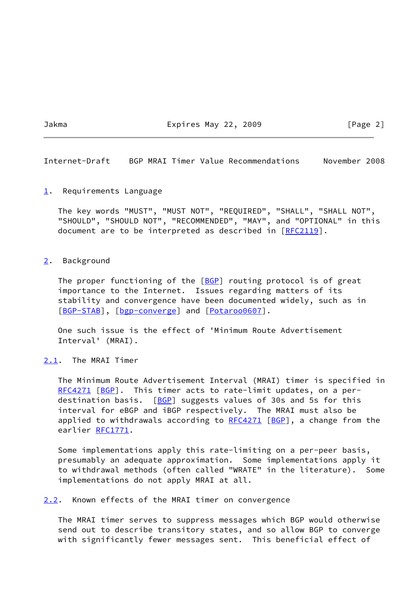Jakma Expires May 22, 2009 [Page 2]

<span id="page-2-1"></span>Internet-Draft BGP MRAI Timer Value Recommendations November 2008

<span id="page-2-0"></span>[1](#page-2-0). Requirements Language

 The key words "MUST", "MUST NOT", "REQUIRED", "SHALL", "SHALL NOT", "SHOULD", "SHOULD NOT", "RECOMMENDED", "MAY", and "OPTIONAL" in this document are to be interpreted as described in [\[RFC2119](https://datatracker.ietf.org/doc/pdf/rfc2119)].

<span id="page-2-2"></span>[2](#page-2-2). Background

The proper functioning of the  $[BCP]$  routing protocol is of great importance to the Internet. Issues regarding matters of its stability and convergence have been documented widely, such as in [\[BGP-STAB](#page-6-8)], [\[bgp-converge](#page-7-0)] and [\[Potaroo0607](#page-7-1)].

 One such issue is the effect of 'Minimum Route Advertisement Interval' (MRAI).

<span id="page-2-3"></span>[2.1](#page-2-3). The MRAI Timer

 The Minimum Route Advertisement Interval (MRAI) timer is specified in [RFC4271](https://datatracker.ietf.org/doc/pdf/rfc4271) [\[BGP](#page-6-7)]. This timer acts to rate-limit updates, on a perdestination basis.  $[BGP]$  suggests values of 30s and 5s for this interval for eBGP and iBGP respectively. The MRAI must also be applied to withdrawals according to  $RFC4271$   $[BGP]$  $[BGP]$ , a change from the earlier [RFC1771](https://datatracker.ietf.org/doc/pdf/rfc1771).

 Some implementations apply this rate-limiting on a per-peer basis, presumably an adequate approximation. Some implementations apply it to withdrawal methods (often called "WRATE" in the literature). Some implementations do not apply MRAI at all.

<span id="page-2-4"></span>[2.2](#page-2-4). Known effects of the MRAI timer on convergence

 The MRAI timer serves to suppress messages which BGP would otherwise send out to describe transitory states, and so allow BGP to converge with significantly fewer messages sent. This beneficial effect of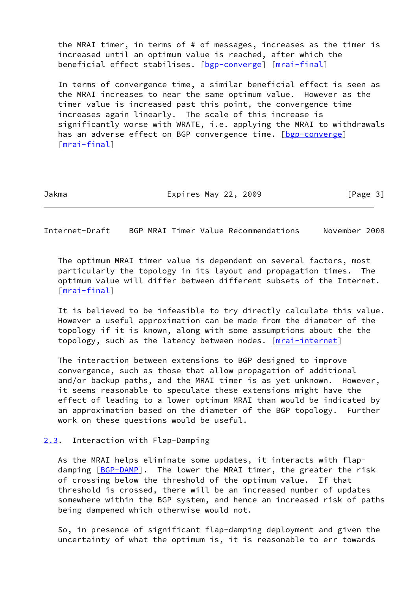the MRAI timer, in terms of # of messages, increases as the timer is increased until an optimum value is reached, after which the beneficial effect stabilises. [[bgp-converge\]](#page-7-0) [\[mrai-final\]](#page-7-2)

 In terms of convergence time, a similar beneficial effect is seen as the MRAI increases to near the same optimum value. However as the timer value is increased past this point, the convergence time increases again linearly. The scale of this increase is significantly worse with WRATE, i.e. applying the MRAI to withdrawals has an adverse effect on BGP convergence time. [\[bgp-converge](#page-7-0)] [\[mrai-final\]](#page-7-2)

Jakma **Expires May 22, 2009** [Page 3]

<span id="page-3-1"></span>Internet-Draft BGP MRAI Timer Value Recommendations November 2008

 The optimum MRAI timer value is dependent on several factors, most particularly the topology in its layout and propagation times. The optimum value will differ between different subsets of the Internet. [\[mrai-final\]](#page-7-2)

 It is believed to be infeasible to try directly calculate this value. However a useful approximation can be made from the diameter of the topology if it is known, along with some assumptions about the the topology, such as the latency between nodes. [*mrai-internet*]

 The interaction between extensions to BGP designed to improve convergence, such as those that allow propagation of additional and/or backup paths, and the MRAI timer is as yet unknown. However, it seems reasonable to speculate these extensions might have the effect of leading to a lower optimum MRAI than would be indicated by an approximation based on the diameter of the BGP topology. Further work on these questions would be useful.

#### <span id="page-3-0"></span>[2.3](#page-3-0). Interaction with Flap-Damping

 As the MRAI helps eliminate some updates, it interacts with flap- damping [\[BGP-DAMP](#page-7-4)]. The lower the MRAI timer, the greater the risk of crossing below the threshold of the optimum value. If that threshold is crossed, there will be an increased number of updates somewhere within the BGP system, and hence an increased risk of paths being dampened which otherwise would not.

 So, in presence of significant flap-damping deployment and given the uncertainty of what the optimum is, it is reasonable to err towards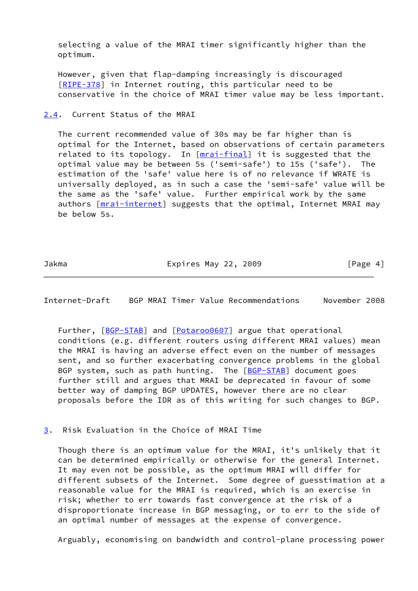selecting a value of the MRAI timer significantly higher than the optimum.

 However, given that flap-damping increasingly is discouraged [\[RIPE-378](#page-7-5)] in Internet routing, this particular need to be conservative in the choice of MRAI timer value may be less important.

<span id="page-4-0"></span>[2.4](#page-4-0). Current Status of the MRAI

 The current recommended value of 30s may be far higher than is optimal for the Internet, based on observations of certain parameters related to its topology. In [\[mrai-final\]](#page-7-2) it is suggested that the optimal value may be between 5s ('semi-safe') to 15s ('safe'). The estimation of the 'safe' value here is of no relevance if WRATE is universally deployed, as in such a case the 'semi-safe' value will be the same as the 'safe' value. Further empirical work by the same authors [\[mrai-internet](#page-7-3)] suggests that the optimal, Internet MRAI may be below 5s.

Jakma Expires May 22, 2009 [Page 4]

<span id="page-4-2"></span>Internet-Draft BGP MRAI Timer Value Recommendations November 2008

Further, [\[BGP-STAB](#page-6-8)] and [\[Potaroo0607](#page-7-1)] argue that operational conditions (e.g. different routers using different MRAI values) mean the MRAI is having an adverse effect even on the number of messages sent, and so further exacerbating convergence problems in the global BGP system, such as path hunting. The [\[BGP-STAB](#page-6-8)] document goes further still and argues that MRAI be deprecated in favour of some better way of damping BGP UPDATES, however there are no clear proposals before the IDR as of this writing for such changes to BGP.

<span id="page-4-1"></span>[3](#page-4-1). Risk Evaluation in the Choice of MRAI Time

 Though there is an optimum value for the MRAI, it's unlikely that it can be determined empirically or otherwise for the general Internet. It may even not be possible, as the optimum MRAI will differ for different subsets of the Internet. Some degree of guesstimation at a reasonable value for the MRAI is required, which is an exercise in risk; whether to err towards fast convergence at the risk of a disproportionate increase in BGP messaging, or to err to the side of an optimal number of messages at the expense of convergence.

Arguably, economising on bandwidth and control-plane processing power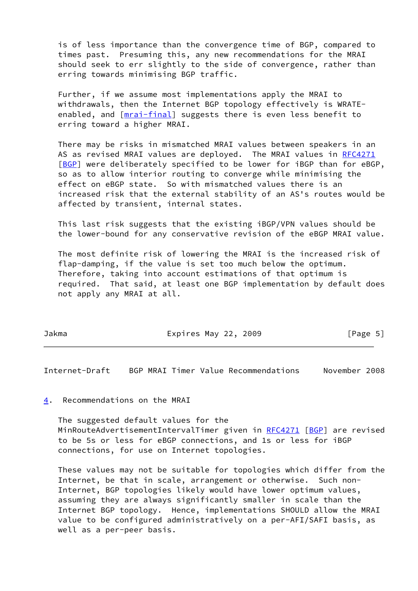is of less importance than the convergence time of BGP, compared to times past. Presuming this, any new recommendations for the MRAI should seek to err slightly to the side of convergence, rather than erring towards minimising BGP traffic.

 Further, if we assume most implementations apply the MRAI to withdrawals, then the Internet BGP topology effectively is WRATE- enabled, and [\[mrai-final\]](#page-7-2) suggests there is even less benefit to erring toward a higher MRAI.

 There may be risks in mismatched MRAI values between speakers in an AS as revised MRAI values are deployed. The MRAI values in [RFC4271](https://datatracker.ietf.org/doc/pdf/rfc4271) [\[BGP](#page-6-7)] were deliberately specified to be lower for iBGP than for eBGP, so as to allow interior routing to converge while minimising the effect on eBGP state. So with mismatched values there is an increased risk that the external stability of an AS's routes would be affected by transient, internal states.

 This last risk suggests that the existing iBGP/VPN values should be the lower-bound for any conservative revision of the eBGP MRAI value.

 The most definite risk of lowering the MRAI is the increased risk of flap-damping, if the value is set too much below the optimum. Therefore, taking into account estimations of that optimum is required. That said, at least one BGP implementation by default does not apply any MRAI at all.

Jakma Expires May 22, 2009 [Page 5]

<span id="page-5-1"></span>Internet-Draft BGP MRAI Timer Value Recommendations November 2008

### <span id="page-5-0"></span>[4](#page-5-0). Recommendations on the MRAI

 The suggested default values for the MinRouteAdvertisementIntervalTimer given in [RFC4271](https://datatracker.ietf.org/doc/pdf/rfc4271) [\[BGP](#page-6-7)] are revised to be 5s or less for eBGP connections, and 1s or less for iBGP connections, for use on Internet topologies.

 These values may not be suitable for topologies which differ from the Internet, be that in scale, arrangement or otherwise. Such non- Internet, BGP topologies likely would have lower optimum values, assuming they are always significantly smaller in scale than the Internet BGP topology. Hence, implementations SHOULD allow the MRAI value to be configured administratively on a per-AFI/SAFI basis, as well as a per-peer basis.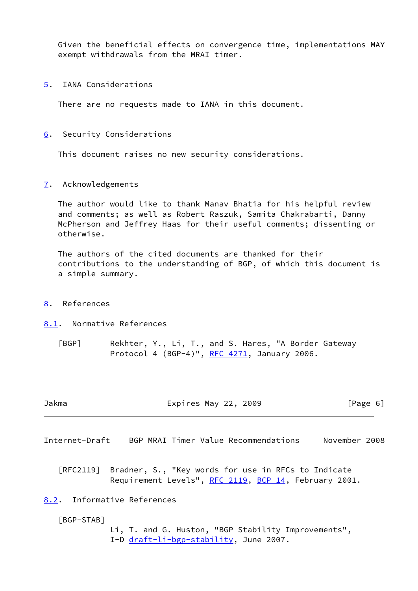Given the beneficial effects on convergence time, implementations MAY exempt withdrawals from the MRAI timer.

<span id="page-6-0"></span>[5](#page-6-0). IANA Considerations

There are no requests made to IANA in this document.

<span id="page-6-1"></span>[6](#page-6-1). Security Considerations

This document raises no new security considerations.

<span id="page-6-2"></span>[7](#page-6-2). Acknowledgements

 The author would like to thank Manav Bhatia for his helpful review and comments; as well as Robert Raszuk, Samita Chakrabarti, Danny McPherson and Jeffrey Haas for their useful comments; dissenting or otherwise.

 The authors of the cited documents are thanked for their contributions to the understanding of BGP, of which this document is a simple summary.

- <span id="page-6-3"></span>[8](#page-6-3). References
- <span id="page-6-7"></span><span id="page-6-4"></span>[8.1](#page-6-4). Normative References
	- [BGP] Rekhter, Y., Li, T., and S. Hares, "A Border Gateway Protocol 4 (BGP-4)", [RFC 4271](https://datatracker.ietf.org/doc/pdf/rfc4271), January 2006.

| Jakma | Expires May 22, 2009 | [Page 6] |
|-------|----------------------|----------|
|-------|----------------------|----------|

<span id="page-6-6"></span>Internet-Draft BGP MRAI Timer Value Recommendations November 2008

 [RFC2119] Bradner, S., "Key words for use in RFCs to Indicate Requirement Levels", [RFC 2119](https://datatracker.ietf.org/doc/pdf/rfc2119), [BCP 14](https://datatracker.ietf.org/doc/pdf/bcp14), February 2001.

<span id="page-6-5"></span>[8.2](#page-6-5). Informative References

<span id="page-6-8"></span>[BGP-STAB]

 Li, T. and G. Huston, "BGP Stability Improvements", I-D [draft-li-bgp-stability](https://datatracker.ietf.org/doc/pdf/draft-li-bgp-stability), June 2007.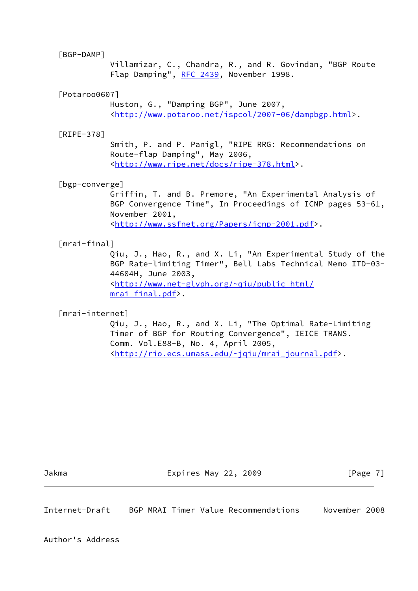<span id="page-7-4"></span>[BGP-DAMP]

 Villamizar, C., Chandra, R., and R. Govindan, "BGP Route Flap Damping", [RFC 2439](https://datatracker.ietf.org/doc/pdf/rfc2439), November 1998.

#### <span id="page-7-1"></span>[Potaroo0607]

 Huston, G., "Damping BGP", June 2007, <[http://www.potaroo.net/ispcol/2007-06/dampbgp.html>](http://www.potaroo.net/ispcol/2007-06/dampbgp.html).

#### <span id="page-7-5"></span>[RIPE-378]

 Smith, P. and P. Panigl, "RIPE RRG: Recommendations on Route-flap Damping", May 2006, <<http://www.ripe.net/docs/ripe-378.html>>.

#### <span id="page-7-0"></span>[bgp-converge]

 Griffin, T. and B. Premore, "An Experimental Analysis of BGP Convergence Time", In Proceedings of ICNP pages 53-61, November 2001, <[http://www.ssfnet.org/Papers/icnp-2001.pdf>](http://www.ssfnet.org/Papers/icnp-2001.pdf).

#### <span id="page-7-2"></span>[mrai-final]

 Qiu, J., Hao, R., and X. Li, "An Experimental Study of the BGP Rate-limiting Timer", Bell Labs Technical Memo ITD-03- 44604H, June 2003, <[http://www.net-glyph.org/~qiu/public\\_html/](http://www.net-glyph.org/~qiu/public_html/mrai_final.pdf) [mrai\\_final.pdf](http://www.net-glyph.org/~qiu/public_html/mrai_final.pdf)>.

### <span id="page-7-3"></span>[mrai-internet]

 Qiu, J., Hao, R., and X. Li, "The Optimal Rate-Limiting Timer of BGP for Routing Convergence", IEICE TRANS. Comm. Vol.E88-B, No. 4, April 2005, <[http://rio.ecs.umass.edu/~jqiu/mrai\\_journal.pdf>](http://rio.ecs.umass.edu/~jqiu/mrai_journal.pdf).

Jakma **Expires May 22, 2009** [Page 7]

Internet-Draft BGP MRAI Timer Value Recommendations November 2008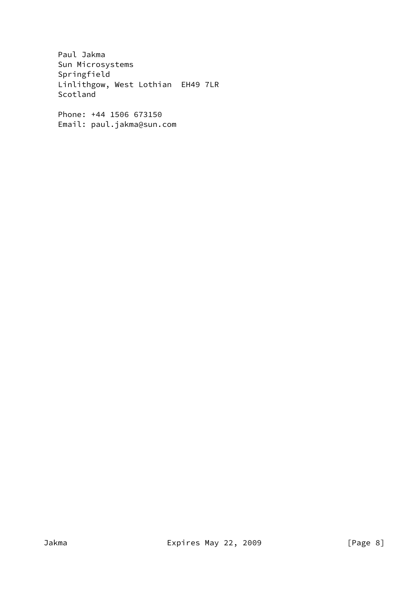Paul Jakma Sun Microsystems Springfield Linlithgow, West Lothian EH49 7LR Scotland

 Phone: +44 1506 673150 Email: paul.jakma@sun.com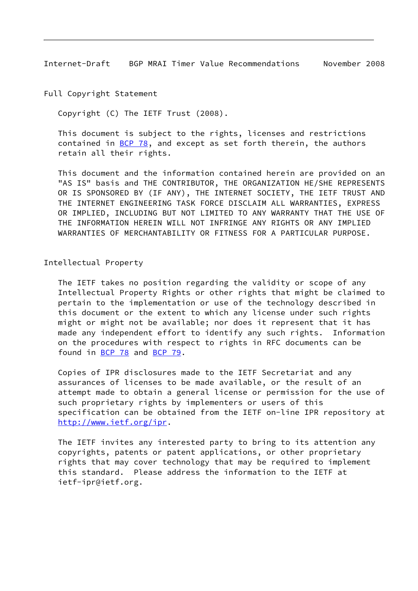<span id="page-9-0"></span>Internet-Draft BGP MRAI Timer Value Recommendations November 2008

Full Copyright Statement

Copyright (C) The IETF Trust (2008).

 This document is subject to the rights, licenses and restrictions contained in  $BCP$  78, and except as set forth therein, the authors retain all their rights.

 This document and the information contained herein are provided on an "AS IS" basis and THE CONTRIBUTOR, THE ORGANIZATION HE/SHE REPRESENTS OR IS SPONSORED BY (IF ANY), THE INTERNET SOCIETY, THE IETF TRUST AND THE INTERNET ENGINEERING TASK FORCE DISCLAIM ALL WARRANTIES, EXPRESS OR IMPLIED, INCLUDING BUT NOT LIMITED TO ANY WARRANTY THAT THE USE OF THE INFORMATION HEREIN WILL NOT INFRINGE ANY RIGHTS OR ANY IMPLIED WARRANTIES OF MERCHANTABILITY OR FITNESS FOR A PARTICULAR PURPOSE.

Intellectual Property

 The IETF takes no position regarding the validity or scope of any Intellectual Property Rights or other rights that might be claimed to pertain to the implementation or use of the technology described in this document or the extent to which any license under such rights might or might not be available; nor does it represent that it has made any independent effort to identify any such rights. Information on the procedures with respect to rights in RFC documents can be found in [BCP 78](https://datatracker.ietf.org/doc/pdf/bcp78) and [BCP 79](https://datatracker.ietf.org/doc/pdf/bcp79).

 Copies of IPR disclosures made to the IETF Secretariat and any assurances of licenses to be made available, or the result of an attempt made to obtain a general license or permission for the use of such proprietary rights by implementers or users of this specification can be obtained from the IETF on-line IPR repository at <http://www.ietf.org/ipr>.

 The IETF invites any interested party to bring to its attention any copyrights, patents or patent applications, or other proprietary rights that may cover technology that may be required to implement this standard. Please address the information to the IETF at ietf-ipr@ietf.org.